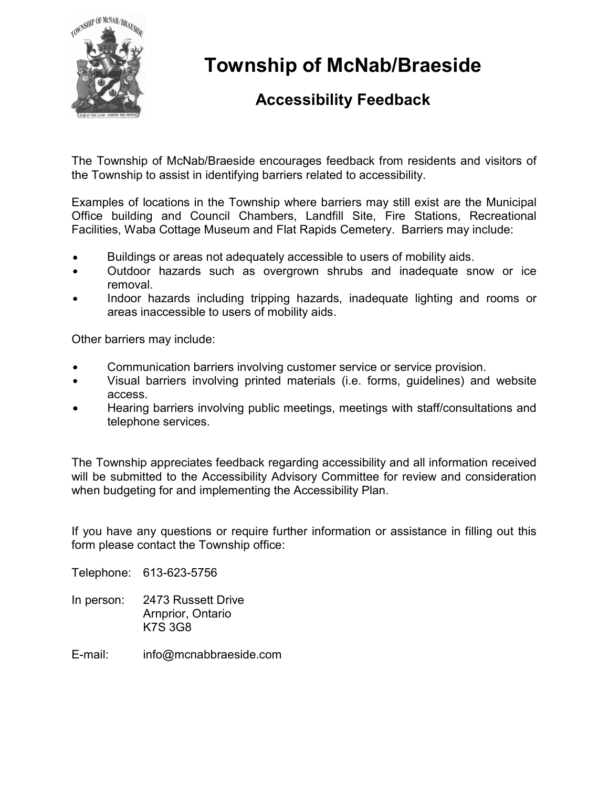

Township of McNab/Braeside

## Accessibility Feedback

The Township of McNab/Braeside encourages feedback from residents and visitors of the Township to assist in identifying barriers related to accessibility.

Examples of locations in the Township where barriers may still exist are the Municipal Office building and Council Chambers, Landfill Site, Fire Stations, Recreational Facilities, Waba Cottage Museum and Flat Rapids Cemetery. Barriers may include:

- Buildings or areas not adequately accessible to users of mobility aids.
- Outdoor hazards such as overgrown shrubs and inadequate snow or ice removal.
- Indoor hazards including tripping hazards, inadequate lighting and rooms or areas inaccessible to users of mobility aids.

Other barriers may include:

- Communication barriers involving customer service or service provision.
- Visual barriers involving printed materials (i.e. forms, guidelines) and website  $\bullet$ access.
- Hearing barriers involving public meetings, meetings with staff/consultations and telephone services.

The Township appreciates feedback regarding accessibility and all information received will be submitted to the Accessibility Advisory Committee for review and consideration when budgeting for and implementing the Accessibility Plan.

If you have any questions or require further information or assistance in filling out this form please contact the Township office:

Telephone: 613-623-5756

- In person: 2473 Russett Drive Arnprior, Ontario K7S 3G8
- E-mail: info@mcnabbraeside.com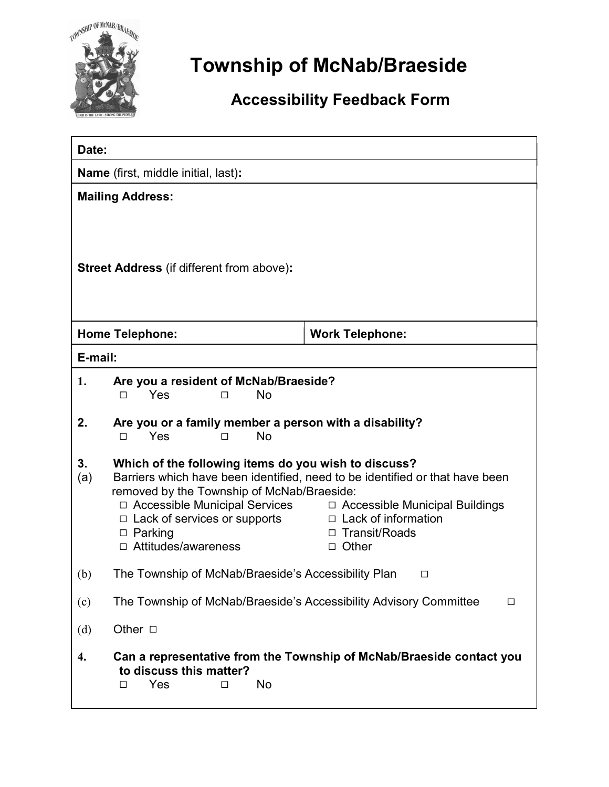

## Township of McNab/Braeside

## Accessibility Feedback Form

| Date:                                            |                                                                                                                                                                                                                                                                                                                                                                                                            |                        |
|--------------------------------------------------|------------------------------------------------------------------------------------------------------------------------------------------------------------------------------------------------------------------------------------------------------------------------------------------------------------------------------------------------------------------------------------------------------------|------------------------|
| <b>Name</b> (first, middle initial, last):       |                                                                                                                                                                                                                                                                                                                                                                                                            |                        |
| <b>Mailing Address:</b>                          |                                                                                                                                                                                                                                                                                                                                                                                                            |                        |
| <b>Street Address</b> (if different from above): |                                                                                                                                                                                                                                                                                                                                                                                                            |                        |
|                                                  | <b>Home Telephone:</b>                                                                                                                                                                                                                                                                                                                                                                                     | <b>Work Telephone:</b> |
| E-mail:                                          |                                                                                                                                                                                                                                                                                                                                                                                                            |                        |
| 1.                                               | Are you a resident of McNab/Braeside?<br>Yes<br>No<br>□<br>п                                                                                                                                                                                                                                                                                                                                               |                        |
| 2.                                               | Are you or a family member a person with a disability?<br>Yes<br><b>No</b><br>□<br>п                                                                                                                                                                                                                                                                                                                       |                        |
| 3.<br>(a)                                        | Which of the following items do you wish to discuss?<br>Barriers which have been identified, need to be identified or that have been<br>removed by the Township of McNab/Braeside:<br>□ Accessible Municipal Services<br>$\Box$ Accessible Municipal Buildings<br>□ Lack of information<br>$\Box$ Lack of services or supports<br>$\Box$ Parking<br>Transit/Roads<br>□ Attitudes/awareness<br>$\Box$ Other |                        |
| (b)                                              | The Township of McNab/Braeside's Accessibility Plan<br>□                                                                                                                                                                                                                                                                                                                                                   |                        |
| (c)                                              | The Township of McNab/Braeside's Accessibility Advisory Committee<br>$\Box$                                                                                                                                                                                                                                                                                                                                |                        |
| (d)                                              | Other $\Box$                                                                                                                                                                                                                                                                                                                                                                                               |                        |
| 4.                                               | Can a representative from the Township of McNab/Braeside contact you<br>to discuss this matter?<br>No<br>Yes<br>□<br>П                                                                                                                                                                                                                                                                                     |                        |